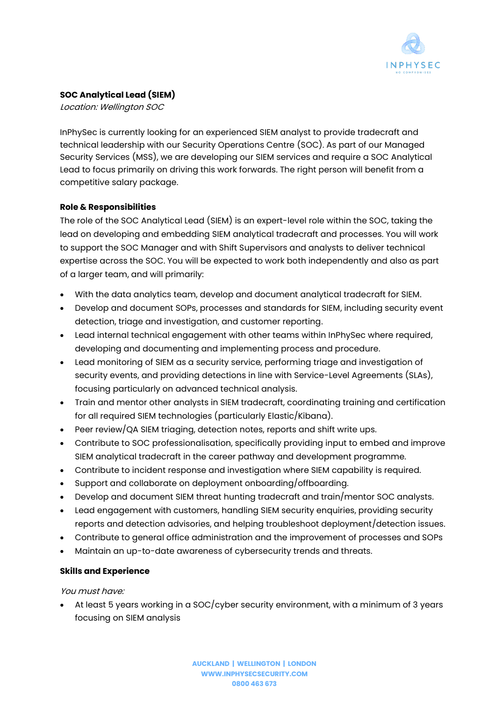

# **SOC Analytical Lead (SIEM)**

Location: Wellington SOC

InPhySec is currently looking for an experienced SIEM analyst to provide tradecraft and technical leadership with our Security Operations Centre (SOC). As part of our Managed Security Services (MSS), we are developing our SIEM services and require a SOC Analytical Lead to focus primarily on driving this work forwards. The right person will benefit from a competitive salary package.

## **Role & Responsibilities**

The role of the SOC Analytical Lead (SIEM) is an expert-level role within the SOC, taking the lead on developing and embedding SIEM analytical tradecraft and processes. You will work to support the SOC Manager and with Shift Supervisors and analysts to deliver technical expertise across the SOC. You will be expected to work both independently and also as part of a larger team, and will primarily:

- With the data analytics team, develop and document analytical tradecraft for SIEM.
- Develop and document SOPs, processes and standards for SIEM, including security event detection, triage and investigation, and customer reporting.
- Lead internal technical engagement with other teams within InPhySec where required, developing and documenting and implementing process and procedure.
- Lead monitoring of SIEM as a security service, performing triage and investigation of security events, and providing detections in line with Service-Level Agreements (SLAs), focusing particularly on advanced technical analysis.
- Train and mentor other analysts in SIEM tradecraft, coordinating training and certification for all required SIEM technologies (particularly Elastic/Kibana).
- Peer review/QA SIEM triaging, detection notes, reports and shift write ups.
- Contribute to SOC professionalisation, specifically providing input to embed and improve SIEM analytical tradecraft in the career pathway and development programme.
- Contribute to incident response and investigation where SIEM capability is required.
- Support and collaborate on deployment onboarding/offboarding.
- Develop and document SIEM threat hunting tradecraft and train/mentor SOC analysts.
- Lead engagement with customers, handling SIEM security enquiries, providing security reports and detection advisories, and helping troubleshoot deployment/detection issues.
- Contribute to general office administration and the improvement of processes and SOPs
- Maintain an up-to-date awareness of cybersecurity trends and threats.

## **Skills and Experience**

You must have:

• At least 5 years working in a SOC/cyber security environment, with a minimum of 3 years focusing on SIEM analysis

> **AUCKLAND | WELLINGTON | LONDON [WWW.INPHYSECSECURITY.COM](http://www.inphysec.co.nz/) 0800 463 673**